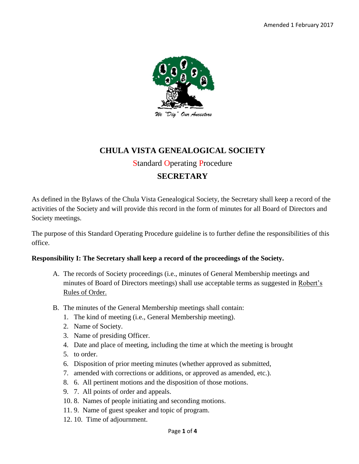

# **CHULA VISTA GENEALOGICAL SOCIETY**

## Standard Operating Procedure

## **SECRETARY**

As defined in the Bylaws of the Chula Vista Genealogical Society, the Secretary shall keep a record of the activities of the Society and will provide this record in the form of minutes for all Board of Directors and Society meetings.

The purpose of this Standard Operating Procedure guideline is to further define the responsibilities of this office.

#### **Responsibility I: The Secretary shall keep a record of the proceedings of the Society.**

- A. The records of Society proceedings (i.e., minutes of General Membership meetings and minutes of Board of Directors meetings) shall use acceptable terms as suggested in Robert's Rules of Order.
- B. The minutes of the General Membership meetings shall contain:
	- 1. The kind of meeting (i.e., General Membership meeting).
	- 2. Name of Society.
	- 3. Name of presiding Officer.
	- 4. Date and place of meeting, including the time at which the meeting is brought
	- 5. to order.
	- 6. Disposition of prior meeting minutes (whether approved as submitted,
	- 7. amended with corrections or additions, or approved as amended, etc.).
	- 8. 6. All pertinent motions and the disposition of those motions.
	- 9. 7. All points of order and appeals.
	- 10. 8. Names of people initiating and seconding motions.
	- 11. 9. Name of guest speaker and topic of program.
	- 12. 10. Time of adjournment.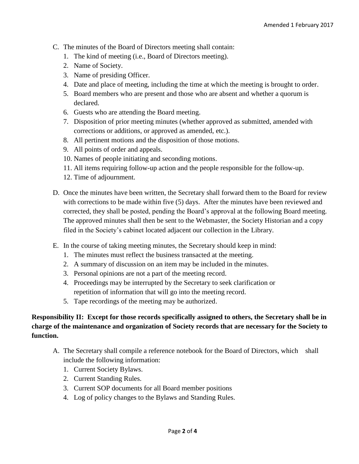- C. The minutes of the Board of Directors meeting shall contain:
	- 1. The kind of meeting (i.e., Board of Directors meeting).
	- 2. Name of Society.
	- 3. Name of presiding Officer.
	- 4. Date and place of meeting, including the time at which the meeting is brought to order.
	- 5. Board members who are present and those who are absent and whether a quorum is declared.
	- 6. Guests who are attending the Board meeting.
	- 7. Disposition of prior meeting minutes (whether approved as submitted, amended with corrections or additions, or approved as amended, etc.).
	- 8. All pertinent motions and the disposition of those motions.
	- 9. All points of order and appeals.
	- 10. Names of people initiating and seconding motions.
	- 11. All items requiring follow-up action and the people responsible for the follow-up.
	- 12. Time of adjournment.
- D. Once the minutes have been written, the Secretary shall forward them to the Board for review with corrections to be made within five (5) days. After the minutes have been reviewed and corrected, they shall be posted, pending the Board's approval at the following Board meeting. The approved minutes shall then be sent to the Webmaster, the Society Historian and a copy filed in the Society's cabinet located adjacent our collection in the Library.
- E. In the course of taking meeting minutes, the Secretary should keep in mind:
	- 1. The minutes must reflect the business transacted at the meeting.
	- 2. A summary of discussion on an item may be included in the minutes.
	- 3. Personal opinions are not a part of the meeting record.
	- 4. Proceedings may be interrupted by the Secretary to seek clarification or repetition of information that will go into the meeting record.
	- 5. Tape recordings of the meeting may be authorized.

### **Responsibility II: Except for those records specifically assigned to others, the Secretary shall be in charge of the maintenance and organization of Society records that are necessary for the Society to function.**

- A. The Secretary shall compile a reference notebook for the Board of Directors, which shall include the following information:
	- 1. Current Society Bylaws.
	- 2. Current Standing Rules.
	- 3. Current SOP documents for all Board member positions
	- 4. Log of policy changes to the Bylaws and Standing Rules.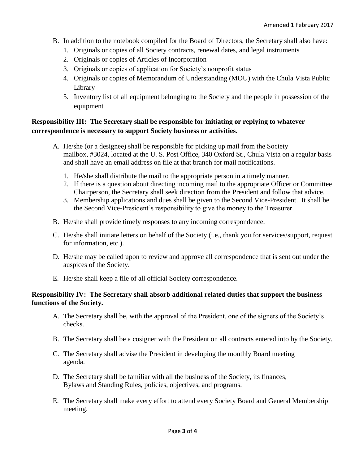- B. In addition to the notebook compiled for the Board of Directors, the Secretary shall also have:
	- 1. Originals or copies of all Society contracts, renewal dates, and legal instruments
	- 2. Originals or copies of Articles of Incorporation
	- 3. Originals or copies of application for Society's nonprofit status
	- 4. Originals or copies of Memorandum of Understanding (MOU) with the Chula Vista Public Library
	- 5. Inventory list of all equipment belonging to the Society and the people in possession of the equipment

### **Responsibility III: The Secretary shall be responsible for initiating or replying to whatever correspondence is necessary to support Society business or activities.**

- A. He/she (or a designee) shall be responsible for picking up mail from the Society mailbox, #3024, located at the U. S. Post Office, 340 Oxford St., Chula Vista on a regular basis and shall have an email address on file at that branch for mail notifications.
	- 1. He/she shall distribute the mail to the appropriate person in a timely manner.
	- 2. If there is a question about directing incoming mail to the appropriate Officer or Committee Chairperson, the Secretary shall seek direction from the President and follow that advice.
	- 3. Membership applications and dues shall be given to the Second Vice-President. It shall be the Second Vice-President's responsibility to give the money to the Treasurer.
- B. He/she shall provide timely responses to any incoming correspondence.
- C. He/she shall initiate letters on behalf of the Society (i.e., thank you for services/support, request for information, etc.).
- D. He/she may be called upon to review and approve all correspondence that is sent out under the auspices of the Society.
- E. He/she shall keep a file of all official Society correspondence.

#### **Responsibility IV: The Secretary shall absorb additional related duties that support the business functions of the Society.**

- A. The Secretary shall be, with the approval of the President, one of the signers of the Society's checks.
- B. The Secretary shall be a cosigner with the President on all contracts entered into by the Society.
- C. The Secretary shall advise the President in developing the monthly Board meeting agenda.
- D. The Secretary shall be familiar with all the business of the Society, its finances, Bylaws and Standing Rules, policies, objectives, and programs.
- E. The Secretary shall make every effort to attend every Society Board and General Membership meeting.